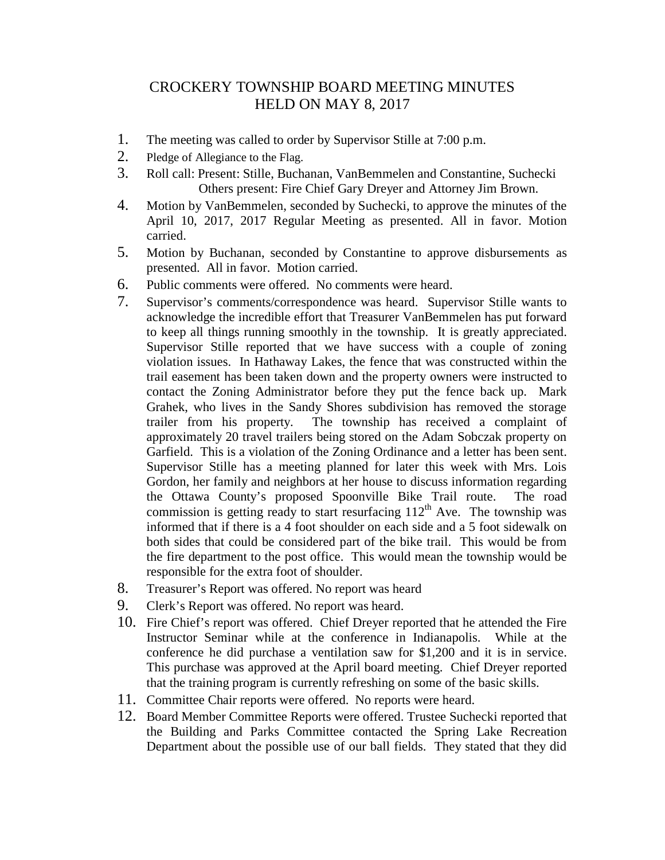## CROCKERY TOWNSHIP BOARD MEETING MINUTES HELD ON MAY 8, 2017

- 1. The meeting was called to order by Supervisor Stille at 7:00 p.m.
- 2. Pledge of Allegiance to the Flag.
- 3. Roll call: Present: Stille, Buchanan, VanBemmelen and Constantine, Suchecki Others present: Fire Chief Gary Dreyer and Attorney Jim Brown.
- 4. Motion by VanBemmelen, seconded by Suchecki, to approve the minutes of the April 10, 2017, 2017 Regular Meeting as presented. All in favor. Motion carried.
- 5. Motion by Buchanan, seconded by Constantine to approve disbursements as presented. All in favor. Motion carried.
- 6. Public comments were offered. No comments were heard.
- 7. Supervisor's comments/correspondence was heard. Supervisor Stille wants to acknowledge the incredible effort that Treasurer VanBemmelen has put forward to keep all things running smoothly in the township. It is greatly appreciated. Supervisor Stille reported that we have success with a couple of zoning violation issues. In Hathaway Lakes, the fence that was constructed within the trail easement has been taken down and the property owners were instructed to contact the Zoning Administrator before they put the fence back up. Mark Grahek, who lives in the Sandy Shores subdivision has removed the storage trailer from his property. The township has received a complaint of approximately 20 travel trailers being stored on the Adam Sobczak property on Garfield. This is a violation of the Zoning Ordinance and a letter has been sent. Supervisor Stille has a meeting planned for later this week with Mrs. Lois Gordon, her family and neighbors at her house to discuss information regarding the Ottawa County's proposed Spoonville Bike Trail route. The road commission is getting ready to start resurfacing  $112<sup>th</sup>$  Ave. The township was informed that if there is a 4 foot shoulder on each side and a 5 foot sidewalk on both sides that could be considered part of the bike trail. This would be from the fire department to the post office. This would mean the township would be responsible for the extra foot of shoulder.
- 8. Treasurer's Report was offered. No report was heard
- 9. Clerk's Report was offered. No report was heard.
- 10. Fire Chief's report was offered. Chief Dreyer reported that he attended the Fire Instructor Seminar while at the conference in Indianapolis. While at the conference he did purchase a ventilation saw for \$1,200 and it is in service. This purchase was approved at the April board meeting. Chief Dreyer reported that the training program is currently refreshing on some of the basic skills.
- 11. Committee Chair reports were offered. No reports were heard.
- 12. Board Member Committee Reports were offered. Trustee Suchecki reported that the Building and Parks Committee contacted the Spring Lake Recreation Department about the possible use of our ball fields. They stated that they did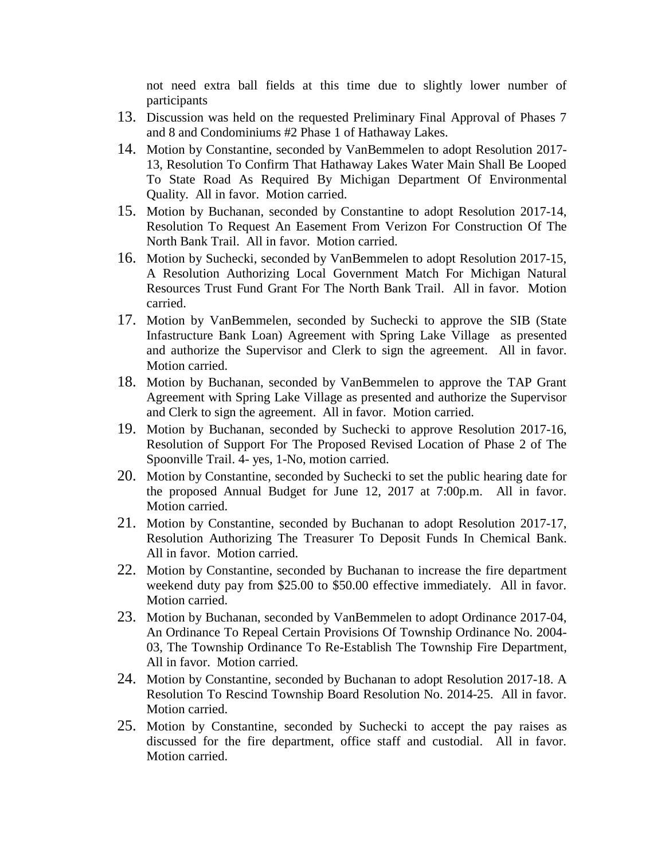not need extra ball fields at this time due to slightly lower number of participants

- 13. Discussion was held on the requested Preliminary Final Approval of Phases 7 and 8 and Condominiums #2 Phase 1 of Hathaway Lakes.
- 14. Motion by Constantine, seconded by VanBemmelen to adopt Resolution 2017- 13, Resolution To Confirm That Hathaway Lakes Water Main Shall Be Looped To State Road As Required By Michigan Department Of Environmental Quality. All in favor. Motion carried.
- 15. Motion by Buchanan, seconded by Constantine to adopt Resolution 2017-14, Resolution To Request An Easement From Verizon For Construction Of The North Bank Trail. All in favor. Motion carried.
- 16. Motion by Suchecki, seconded by VanBemmelen to adopt Resolution 2017-15, A Resolution Authorizing Local Government Match For Michigan Natural Resources Trust Fund Grant For The North Bank Trail. All in favor. Motion carried.
- 17. Motion by VanBemmelen, seconded by Suchecki to approve the SIB (State Infastructure Bank Loan) Agreement with Spring Lake Village as presented and authorize the Supervisor and Clerk to sign the agreement. All in favor. Motion carried.
- 18. Motion by Buchanan, seconded by VanBemmelen to approve the TAP Grant Agreement with Spring Lake Village as presented and authorize the Supervisor and Clerk to sign the agreement. All in favor. Motion carried.
- 19. Motion by Buchanan, seconded by Suchecki to approve Resolution 2017-16, Resolution of Support For The Proposed Revised Location of Phase 2 of The Spoonville Trail. 4- yes, 1-No, motion carried.
- 20. Motion by Constantine, seconded by Suchecki to set the public hearing date for the proposed Annual Budget for June 12, 2017 at 7:00p.m. All in favor. Motion carried.
- 21. Motion by Constantine, seconded by Buchanan to adopt Resolution 2017-17, Resolution Authorizing The Treasurer To Deposit Funds In Chemical Bank. All in favor. Motion carried.
- 22. Motion by Constantine, seconded by Buchanan to increase the fire department weekend duty pay from \$25.00 to \$50.00 effective immediately. All in favor. Motion carried.
- 23. Motion by Buchanan, seconded by VanBemmelen to adopt Ordinance 2017-04, An Ordinance To Repeal Certain Provisions Of Township Ordinance No. 2004- 03, The Township Ordinance To Re-Establish The Township Fire Department, All in favor. Motion carried.
- 24. Motion by Constantine, seconded by Buchanan to adopt Resolution 2017-18. A Resolution To Rescind Township Board Resolution No. 2014-25. All in favor. Motion carried.
- 25. Motion by Constantine, seconded by Suchecki to accept the pay raises as discussed for the fire department, office staff and custodial. All in favor. Motion carried.